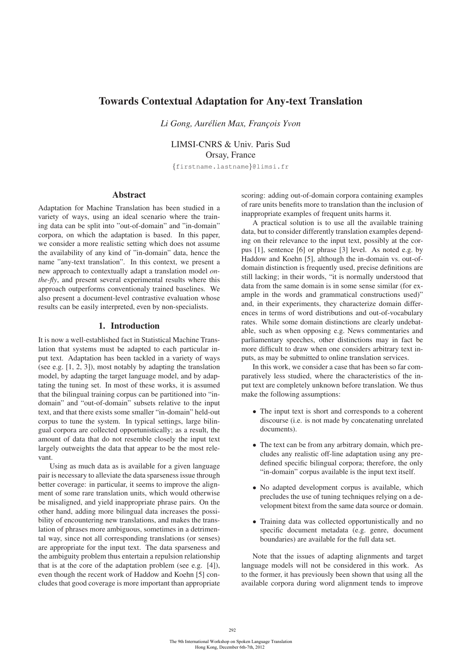# Towards Contextual Adaptation for Any-text Translation

*Li Gong, Aurélien Max, Francois Yvon* 

LIMSI-CNRS & Univ. Paris Sud Orsay, France

{firstname.lastname}@limsi.fr

## Abstract

Adaptation for Machine Translation has been studied in a variety of ways, using an ideal scenario where the training data can be split into "out-of-domain" and "in-domain" corpora, on which the adaptation is based. In this paper, we consider a more realistic setting which does not assume the availability of any kind of "in-domain" data, hence the name "any-text translation". In this context, we present a new approach to contextually adapt a translation model *onthe-fly*, and present several experimental results where this approach outperforms conventionaly trained baselines. We also present a document-level contrastive evaluation whose results can be easily interpreted, even by non-specialists.

## 1. Introduction

It is now a well-established fact in Statistical Machine Translation that systems must be adapted to each particular input text. Adaptation has been tackled in a variety of ways (see e.g. [1, 2, 3]), most notably by adapting the translation model, by adapting the target language model, and by adaptating the tuning set. In most of these works, it is assumed that the bilingual training corpus can be partitioned into "indomain" and "out-of-domain" subsets relative to the input text, and that there exists some smaller "in-domain" held-out corpus to tune the system. In typical settings, large bilingual corpora are collected opportunistically; as a result, the amount of data that do not resemble closely the input text largely outweights the data that appear to be the most relevant.

Using as much data as is available for a given language pair is necessary to alleviate the data sparseness issue through better coverage: in particular, it seems to improve the alignment of some rare translation units, which would otherwise be misaligned, and yield inappropriate phrase pairs. On the other hand, adding more bilingual data increases the possibility of encountering new translations, and makes the translation of phrases more ambiguous, sometimes in a detrimental way, since not all corresponding translations (or senses) are appropriate for the input text. The data sparseness and the ambiguity problem thus entertain a repulsion relationship that is at the core of the adaptation problem (see e.g. [4]), even though the recent work of Haddow and Koehn [5] concludes that good coverage is more important than appropriate scoring: adding out-of-domain corpora containing examples of rare units benefits more to translation than the inclusion of inappropriate examples of frequent units harms it.

A practical solution is to use all the available training data, but to consider differently translation examples depending on their relevance to the input text, possibly at the corpus [1], sentence [6] or phrase [3] level. As noted e.g. by Haddow and Koehn [5], although the in-domain vs. out-ofdomain distinction is frequently used, precise definitions are still lacking; in their words, "it is normally understood that data from the same domain is in some sense similar (for example in the words and grammatical constructions used)" and, in their experiments, they characterize domain differences in terms of word distributions and out-of-vocabulary rates. While some domain distinctions are clearly undebatable, such as when opposing e.g. News commentaries and parliamentary speeches, other distinctions may in fact be more difficult to draw when one considers arbitrary text inputs, as may be submitted to online translation services.

In this work, we consider a case that has been so far comparatively less studied, where the characteristics of the input text are completely unknown before translation. We thus make the following assumptions:

- The input text is short and corresponds to a coherent discourse (i.e. is not made by concatenating unrelated documents).
- The text can be from any arbitrary domain, which precludes any realistic off-line adaptation using any predefined specific bilingual corpora; therefore, the only "in-domain" corpus available is the input text itself.
- No adapted development corpus is available, which precludes the use of tuning techniques relying on a development bitext from the same data source or domain.
- Training data was collected opportunistically and no specific document metadata (e.g. genre, document boundaries) are available for the full data set.

Note that the issues of adapting alignments and target language models will not be considered in this work. As to the former, it has previously been shown that using all the available corpora during word alignment tends to improve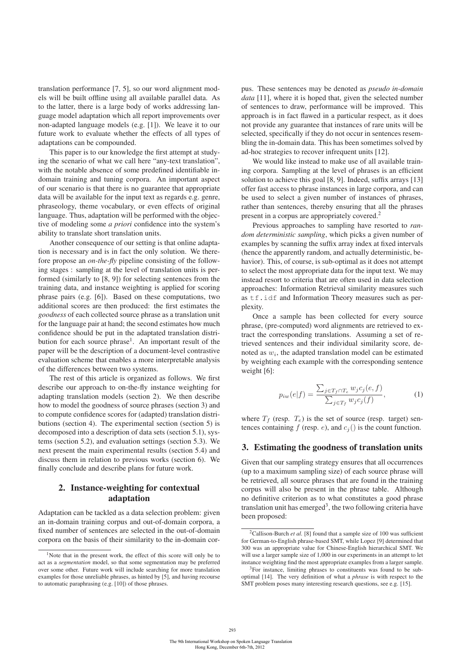translation performance [7, 5], so our word alignment models will be built offline using all available parallel data. As to the latter, there is a large body of works addressing language model adaptation which all report improvements over non-adapted language models (e.g. [1]). We leave it to our future work to evaluate whether the effects of all types of adaptations can be compounded.

This paper is to our knowledge the first attempt at studying the scenario of what we call here "any-text translation", with the notable absence of some predefined identifiable indomain training and tuning corpora. An important aspect of our scenario is that there is no guarantee that appropriate data will be available for the input text as regards e.g. genre, phraseology, theme vocabulary, or even effects of original language. Thus, adaptation will be performed with the objective of modeling some *a priori* confidence into the system's ability to translate short translation units.

Another consequence of our setting is that online adaptation is necessary and is in fact the only solution. We therefore propose an *on-the-fly* pipeline consisting of the following stages : sampling at the level of translation units is performed (similarly to [8, 9]) for selecting sentences from the training data, and instance weighting is applied for scoring phrase pairs (e.g. [6]). Based on these computations, two additional scores are then produced: the first estimates the *goodness* of each collected source phrase as a translation unit for the language pair at hand; the second estimates how much confidence should be put in the adaptated translation distribution for each source phrase<sup>1</sup>. An important result of the paper will be the description of a document-level contrastive evaluation scheme that enables a more interpretable analysis of the differences between two systems.

The rest of this article is organized as follows. We first describe our approach to on-the-fly instance weighting for adapting translation models (section 2). We then describe how to model the goodness of source phrases (section 3) and to compute confidence scores for (adapted) translation distributions (section 4). The experimental section (section 5) is decomposed into a description of data sets (section 5.1), systems (section 5.2), and evaluation settings (section 5.3). We next present the main experimental results (section 5.4) and discuss them in relation to previous works (section 6). We finally conclude and describe plans for future work.

# 2. Instance-weighting for contextual adaptation

Adaptation can be tackled as a data selection problem: given an in-domain training corpus and out-of-domain corpora, a fixed number of sentences are selected in the out-of-domain corpora on the basis of their similarity to the in-domain corpus. These sentences may be denoted as *pseudo in-domain data* [11], where it is hoped that, given the selected number of sentences to draw, performance will be improved. This approach is in fact flawed in a particular respect, as it does not provide any guarantee that instances of rare units will be selected, specifically if they do not occur in sentences resembling the in-domain data. This has been sometimes solved by ad-hoc strategies to recover infrequent units [12].

We would like instead to make use of all available training corpora. Sampling at the level of phrases is an efficient solution to achieve this goal [8, 9]. Indeed, suffix arrays [13] offer fast access to phrase instances in large corpora, and can be used to select a given number of instances of phrases, rather than sentences, thereby ensuring that all the phrases present in a corpus are appropriately covered.2

Previous approaches to sampling have resorted to *random deterministic sampling*, which picks a given number of examples by scanning the suffix array index at fixed intervals (hence the apparently random, and actually deterministic, behavior). This, of course, is sub-optimal as it does not attempt to select the most appropriate data for the input text. We may instead resort to criteria that are often used in data selection approaches: Information Retrieval similarity measures such as tf.idf and Information Theory measures such as perplexity.

Once a sample has been collected for every source phrase, (pre-computed) word alignments are retrieved to extract the corresponding translations. Assuming a set of retrieved sentences and their individual similarity score, denoted as  $w_i$ , the adapted translation model can be estimated by weighting each example with the corresponding sentence weight [6]:

$$
p_{iw}(e|f) = \frac{\sum_{j \in T_f \cap T_e} w_j c_j(e, f)}{\sum_{j \in T_f} w_j c_j(f)},\tag{1}
$$

where  $T_f$  (resp.  $T_e$ ) is the set of source (resp. target) sentences containing f (resp. e), and  $c<sub>i</sub>$ () is the count function.

## 3. Estimating the goodness of translation units

Given that our sampling strategy ensures that all occurrences (up to a maximum sampling size) of each source phrase will be retrieved, all source phrases that are found in the training corpus will also be present in the phrase table. Although no definitive criterion as to what constitutes a good phrase translation unit has emerged<sup>3</sup>, the two following criteria have been proposed:

<sup>&</sup>lt;sup>1</sup>Note that in the present work, the effect of this score will only be to act as a *segmentation* model, so that some segmentation may be preferred over some other. Future work will include searching for more translation examples for those unreliable phrases, as hinted by [5], and having recourse to automatic paraphrasing (e.g. [10]) of those phrases.

<sup>&</sup>lt;sup>2</sup>Callison-Burch *et al.* [8] found that a sample size of 100 was sufficient for German-to-English phrase-based SMT, while Lopez [9] determined that 300 was an appropriate value for Chinese-English hierarchical SMT. We will use a larger sample size of 1,000 in our experiments in an attempt to let instance weighting find the most appropriate examples from a larger sample.

<sup>&</sup>lt;sup>3</sup>For instance, limiting phrases to constituents was found to be suboptimal [14]. The very definition of what a *phrase* is with respect to the SMT problem poses many interesting research questions, see e.g. [15].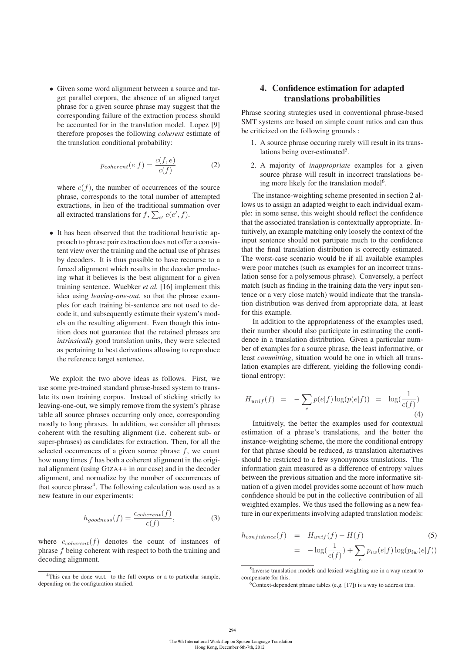• Given some word alignment between a source and target parallel corpora, the absence of an aligned target phrase for a given source phrase may suggest that the corresponding failure of the extraction process should be accounted for in the translation model. Lopez [9] therefore proposes the following *coherent* estimate of the translation conditional probability:

$$
p_{coherent}(e|f) = \frac{c(f,e)}{c(f)}
$$
 (2)

where  $c(f)$ , the number of occurrences of the source phrase, corresponds to the total number of attempted extractions, in lieu of the traditional summation over all extracted translations for  $f$ ,  $\sum_{e'} c(e', f)$ .

• It has been observed that the traditional heuristic approach to phrase pair extraction does not offer a consistent view over the training and the actual use of phrases by decoders. It is thus possible to have recourse to a forced alignment which results in the decoder producing what it believes is the best alignment for a given training sentence. Wuebker *et al.* [16] implement this idea using *leaving-one-out*, so that the phrase examples for each training bi-sentence are not used to decode it, and subsequently estimate their system's models on the resulting alignment. Even though this intuition does not guarantee that the retained phrases are *intrinsically* good translation units, they were selected as pertaining to best derivations allowing to reproduce the reference target sentence.

We exploit the two above ideas as follows. First, we use some pre-trained standard phrase-based system to translate its own training corpus. Instead of sticking strictly to leaving-one-out, we simply remove from the system's phrase table all source phrases occurring only once, corresponding mostly to long phrases. In addition, we consider all phrases coherent with the resulting alignment (i.e. coherent sub- or super-phrases) as candidates for extraction. Then, for all the selected occurrences of a given source phrase  $f$ , we count how many times  $f$  has both a coherent alignment in the original alignment (using GIZA++ in our case) and in the decoder alignment, and normalize by the number of occurrences of that source phrase $4$ . The following calculation was used as a new feature in our experiments:

$$
h_{goodness}(f) = \frac{c_{coherent}(f)}{c(f)},
$$
\n(3)

where  $c_{coherent}(f)$  denotes the count of instances of phrase f being coherent with respect to both the training and decoding alignment.

## 4. Confidence estimation for adapted translations probabilities

Phrase scoring strategies used in conventional phrase-based SMT systems are based on simple count ratios and can thus be criticized on the following grounds :

- 1. A source phrase occuring rarely will result in its translations being over-estimated<sup>5</sup>.
- 2. A majority of *inappropriate* examples for a given source phrase will result in incorrect translations being more likely for the translation model<sup>6</sup>.

The instance-weighting scheme presented in section 2 allows us to assign an adapted weight to each individual example: in some sense, this weight should reflect the confidence that the associated translation is contextually appropriate. Intuitively, an example matching only loosely the context of the input sentence should not partipate much to the confidence that the final translation distribution is correctly estimated. The worst-case scenario would be if all available examples were poor matches (such as examples for an incorrect translation sense for a polysemous phrase). Conversely, a perfect match (such as finding in the training data the very input sentence or a very close match) would indicate that the translation distribution was derived from appropriate data, at least for this example.

In addition to the appropriateness of the examples used, their number should also participate in estimating the confidence in a translation distribution. Given a particular number of examples for a source phrase, the least informative, or least *committing*, situation would be one in which all translation examples are different, yielding the following conditional entropy:

$$
H_{unif}(f) = -\sum_{e} p(e|f) \log(p(e|f)) = \log(\frac{1}{c(f)})
$$
\n(4)

Intuitively, the better the examples used for contextual estimation of a phrase's translations, and the better the instance-weighting scheme, the more the conditional entropy for that phrase should be reduced, as translation alternatives should be restricted to a few synonymous translations. The information gain measured as a difference of entropy values between the previous situation and the more informative situation of a given model provides some account of how much confidence should be put in the collective contribution of all weighted examples. We thus used the following as a new feature in our experiments involving adapted translation models:

$$
h_{confidence}(f) = H_{unif}(f) - H(f)
$$
\n
$$
= -\log(\frac{1}{c(f)}) + \sum_{e} p_{iw}(e|f) \log(p_{iw}(e|f))
$$
\n
$$
\qquad \qquad -
$$

<sup>&</sup>lt;sup>4</sup>This can be done w.r.t. to the full corpus or a to particular sample, depending on the configuration studied.

<sup>5</sup>Inverse translation models and lexical weighting are in a way meant to compensate for this.

 $6$ Context-dependent phrase tables (e.g. [17]) is a way to address this.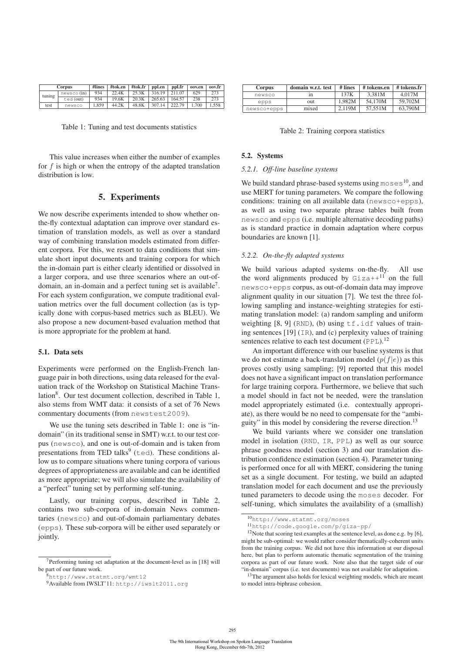| Corpus |            | #lines | #tok.en | #tok.fr | ppl.en | ppl.fr | oov.en | oov.fr |
|--------|------------|--------|---------|---------|--------|--------|--------|--------|
| tuning | newsco(in) | 934    | 22.4K   | 25.3K   | 316.19 | 211.07 | 629    | 273    |
|        | ted (out)  | 934    | 19.6K   | 20.3K   | 265.63 | 164.57 | 238    | 273    |
| test   | newsco     | 1.859  | 44.2K   | 48.8K   | 307.14 | 222.79 | 1.700  | 1.558  |

Table 1: Tuning and test documents statistics

This value increases when either the number of examples for  $f$  is high or when the entropy of the adapted translation distribution is low.

### 5. Experiments

We now describe experiments intended to show whether onthe-fly contextual adaptation can improve over standard estimation of translation models, as well as over a standard way of combining translation models estimated from different corpora. For this, we resort to data conditions that simulate short input documents and training corpora for which the in-domain part is either clearly identified or dissolved in a larger corpora, and use three scenarios where an out-ofdomain, an in-domain and a perfect tuning set is available7. For each system configuration, we compute traditional evaluation metrics over the full document collection (as is typically done with corpus-based metrics such as BLEU). We also propose a new document-based evaluation method that is more appropriate for the problem at hand.

#### 5.1. Data sets

Experiments were performed on the English-French language pair in both directions, using data released for the evaluation track of the Workshop on Statistical Machine Translation<sup>8</sup>. Our test document collection, described in Table 1, also stems from WMT data: it consists of a set of 76 News commentary documents (from newstest2009).

We use the tuning sets described in Table 1: one is "indomain" (in its traditional sense in SMT) w.r.t. to our test corpus (newsco), and one is out-of-domain and is taken from presentations from TED talks<sup>9</sup> (ted). These conditions allow us to compare situations where tuning corpora of various degrees of appropriateness are available and can be identified as more appropriate; we will also simulate the availability of a "perfect" tuning set by performing self-tuning.

Lastly, our training corpus, described in Table 2, contains two sub-corpora of in-domain News commentaries (newsco) and out-of-domain parliamentary debates (epps). These sub-corpora will be either used separately or jointly.

| <b>Corpus</b> | domain w.r.t. test | # lines | # tokens.en | # tokens.fr |
|---------------|--------------------|---------|-------------|-------------|
| newsco        | 1n                 | 137K    | 3.381M      | 4.017M      |
| epps          | out                | 1.982M  | 54.170M     | 59,702M     |
| newsco+epps   | mixed              | 2.119M  | 57.551M     | 63.790M     |

Table 2: Training corpora statistics

#### 5.2. Systems

#### *5.2.1. Off-line baseline systems*

We build standard phrase-based systems using  $m$ oses<sup>10</sup>, and use MERT for tuning parameters. We compare the following conditions: training on all available data (newsco+epps), as well as using two separate phrase tables built from newsco and epps (i.e. multiple alternative decoding paths) as is standard practice in domain adaptation where corpus boundaries are known [1].

#### *5.2.2. On-the-fly adapted systems*

We build various adapted systems on-the-fly. All use the word alignments produced by  $Gizat+11}$  on the full newsco+epps corpus, as out-of-domain data may improve alignment quality in our situation [7]. We test the three following sampling and instance-weighting strategies for estimating translation model: (a) random sampling and uniform weighting  $[8, 9]$  (RND), (b) using  $\forall$  f. idf values of training sentences [19] (IR), and (c) perplexity values of training sentences relative to each test document  $(PPL)$ .<sup>12</sup>

An important difference with our baseline systems is that we do not estimate a back-translation model  $(p(f|e))$  as this proves costly using sampling; [9] reported that this model does not have a significant impact on translation performance for large training corpora. Furthermore, we believe that such a model should in fact not be needed, were the translation model appropriately estimated (i.e. contextually appropriate), as there would be no need to compensate for the "ambiguity" in this model by considering the reverse direction.13

We build variants where we consider one translation model in isolation (RND, IR, PPL) as well as our source phrase goodness model (section 3) and our translation distribution confidence estimation (section 4). Parameter tuning is performed once for all with MERT, considering the tuning set as a single document. For testing, we build an adapted translation model for each document and use the previously tuned parameters to decode using the moses decoder. For self-tuning, which simulates the availability of a (smallish)

<sup>7</sup>Performing tuning set adaptation at the document-level as in [18] will be part of our future work.

<sup>8</sup>http://www.statmt.org/wmt12

<sup>9</sup>Available from IWSLT'11: http://iwslt2011.org

<sup>10</sup>http://www.statmt.org/moses

<sup>11</sup>http://code.google.com/p/giza-pp/

 $12$ Note that scoring test examples at the sentence level, as done e.g. by [6], might be sub-optimal: we would rather consider thematically-coherent units from the training corpus. We did not have this information at our disposal here, but plan to perform automatic thematic segmentation of the training corpora as part of our future work. Note also that the target side of our "in-domain" corpus (i.e. test documents) was not available for adaptation.

<sup>&</sup>lt;sup>13</sup>The argument also holds for lexical weighting models, which are meant to model intra-biphrase cohesion.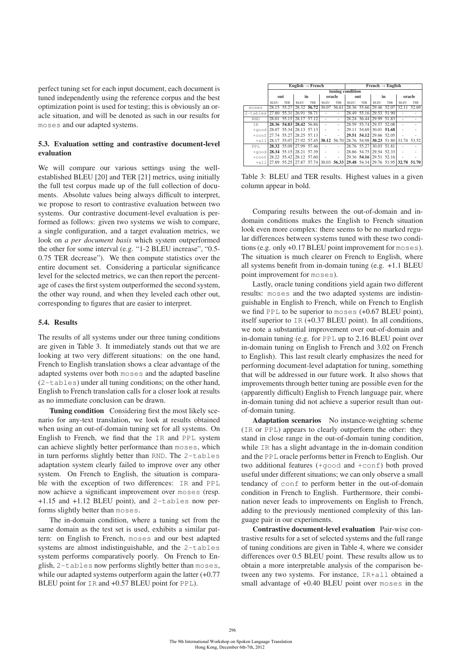perfect tuning set for each input document, each document is tuned independently using the reference corpus and the best optimization point is used for testing; this is obviously an oracle situation, and will be denoted as such in our results for moses and our adapted systems.

## 5.3. Evaluation setting and contrastive document-level evaluation

We will compare our various settings using the wellestablished BLEU [20] and TER [21] metrics, using initially the full test corpus made up of the full collection of documents. Absolute values being always difficult to interpret, we propose to resort to contrastive evaluation between two systems. Our contrastive document-level evaluation is performed as follows: given two systems we wish to compare, a single configuration, and a target evaluation metrics, we look on *a per document basis* which system outperformed the other for some interval (e.g. "1-2 BLEU increase", "0.5- 0.75 TER decrease"). We then compute statistics over the entire document set. Considering a particular significance level for the selected metrics, we can then report the percentage of cases the first system outperformed the second system, the other way round, and when they leveled each other out, corresponding to figures that are easier to interpret.

#### 5.4. Results

The results of all systems under our three tuning conditions are given in Table 3. It immediately stands out that we are looking at two very different situations: on the one hand, French to English translation shows a clear advantage of the adapted systems over both moses and the adapted baseline (2-tables) under all tuning conditions; on the other hand, English to French translation calls for a closer look at results as no immediate conclusion can be drawn.

Tuning condition Considering first the most likely scenario for any-text translation, we look at results obtained when using an out-of-domain tuning set for all systems. On English to French, we find that the IR and PPL system can achieve slightly better performance than moses, which in turn performs slightly better than RND. The 2-tables adaptation system clearly failed to improve over any other system. On French to English, the situation is comparable with the exception of two differences: IR and PPL now achieve a significant improvement over moses (resp. +1.15 and +1.12 BLEU point), and 2-tables now performs slightly better than moses.

The in-domain condition, where a tuning set from the same domain as the test set is used, exhibits a similar pattern: on English to French, moses and our best adapted systems are almost indistinguishable, and the 2-tables system performs comparatively poorly. On French to English, 2-tables now performs slightly better than moses, while our adapted systems outperform again the latter  $(+0.77)$ BLEU point for IR and +0.57 BLEU point for PPL).

|                                       | English $\rightarrow$ French                                                    |             |                         |                         |             |                          | French $\rightarrow$ English |                         |             |                                     |             |            |  |
|---------------------------------------|---------------------------------------------------------------------------------|-------------|-------------------------|-------------------------|-------------|--------------------------|------------------------------|-------------------------|-------------|-------------------------------------|-------------|------------|--|
|                                       | tuning condition                                                                |             |                         |                         |             |                          |                              |                         |             |                                     |             |            |  |
|                                       | out                                                                             |             | in                      |                         | oracle      |                          | out                          |                         | in          |                                     | oracle      |            |  |
|                                       | <b>BLEU</b>                                                                     | <b>TER</b>  | <b>BLEU</b>             | <b>TER</b>              | <b>BLEU</b> | <b>TER</b>               | <b>BLEU</b>                  | <b>TER</b>              | <b>BLEU</b> | <b>TER</b>                          | <b>BLEU</b> | <b>TER</b> |  |
| moses                                 |                                                                                 | 28.15 55.27 |                         | 28.32 56.72 30.07 56.61 |             |                          |                              | 28.36 55.66 29.46 52.07 |             |                                     | 32.11       | 52.69      |  |
| 2-tables                              |                                                                                 | 27.80 55.31 | 26.91 58.71             |                         |             |                          |                              | 28.49 55.16             | 29.53 51.90 |                                     |             |            |  |
| <b>RND</b>                            |                                                                                 |             | 28.01 55.15 28.17 57.12 |                         | ÷,          | $\overline{\phantom{a}}$ |                              | 28.24 56.44 29.99 51.83 |             |                                     |             |            |  |
| IR                                    |                                                                                 |             | 28.36 54.83 28.42 56.86 |                         | ä,          | ٠                        |                              | 28.59 55.74 29.57 52.08 |             |                                     |             |            |  |
| $+$ good 28.07 55.34 28.13 57.13      |                                                                                 |             |                         |                         | ä,          | $\overline{\phantom{a}}$ |                              |                         |             | 29.11 54.69 30.01 51.68             |             |            |  |
| $+$ conf 27.74 55.27 28.25 57.13      |                                                                                 |             |                         |                         |             | ٠                        |                              | 29.51 54.12 29.66 52.05 |             |                                     |             |            |  |
|                                       | $+$ all 28.17 55.07 27.92 57.45 30.12 56.70                                     |             |                         |                         |             |                          |                              |                         |             | 28.76 54.98 30.23 51.80 31.74 53.52 |             |            |  |
| PPT.                                  |                                                                                 |             | 28.32 55.09 27.99 57.46 |                         |             | ٠                        |                              | 28.76 55.27 30.03 51.81 |             |                                     |             |            |  |
| $+\alpha$ ood 28.34 55.15 28.21 57.39 |                                                                                 |             |                         |                         |             | $\overline{\phantom{a}}$ |                              | 28.86 54.75 29.54 52.33 |             |                                     |             |            |  |
| $+$ conf 28.22 55.42 28.12 57.60      |                                                                                 |             |                         |                         |             | ٠                        |                              | 29.36 54.16 29.51 52.16 |             |                                     |             |            |  |
|                                       | $+$ a11 27.89 55.25 27.87 57.74 30.03 56.33 29.48 54.34 29.76 51.95 32.78 51.70 |             |                         |                         |             |                          |                              |                         |             |                                     |             |            |  |

Table 3: BLEU and TER results. Highest values in a given column appear in bold.

Comparing results between the out-of-domain and indomain conditions makes the English to French situation look even more complex: there seems to be no marked regular differences between systems tuned with these two conditions (e.g. only +0.17 BLEU point improvement for moses). The situation is much clearer on French to English, where all systems benefit from in-domain tuning (e.g. +1.1 BLEU point improvement for moses).

Lastly, oracle tuning conditions yield again two different results: moses and the two adapted systems are indistinguishable in English to French, while on French to English we find PPL to be superior to moses (+0.67 BLEU point), itself superior to IR (+0.37 BLEU point). In all conditions, we note a substantial improvement over out-of-domain and in-domain tuning (e.g. for PPL up to 2.16 BLEU point over in-domain tuning on English to French and 3.02 on French to English). This last result clearly emphasizes the need for performing document-level adaptation for tuning, something that will be addressed in our future work. It also shows that improvements through better tuning are possible even for the (apparently difficult) English to French language pair, where in-domain tuning did not achieve a superior result than outof-domain tuning.

Adaptation scenarios No instance-weighting scheme (IR or PPL) appears to clearly outperform the other: they stand in close range in the out-of-domain tuning condition, while IR has a slight advantage in the in-domain condition and the PPL oracle performs better in French to English. Our two additional features (+good and +conf) both proved useful under different situations; we can only observe a small tendancy of conf to perform better in the out-of-domain condition in French to English. Furthermore, their combination never leads to improvements on English to French, adding to the previously mentioned complexity of this language pair in our experiments.

Contrastive document-level evaluation Pair-wise contrastive results for a set of selected systems and the full range of tuning conditions are given in Table 4, where we consider differences over 0.5 BLEU point. These results allow us to obtain a more interpretable analysis of the comparison between any two systems. For instance, IR+all obtained a small advantage of +0.40 BLEU point over moses in the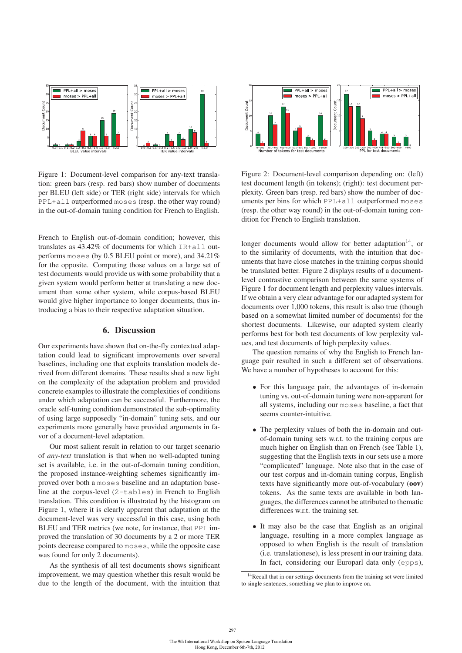

Figure 1: Document-level comparison for any-text translation: green bars (resp. red bars) show number of documents per BLEU (left side) or TER (right side) intervals for which PPL+all outperformed moses (resp. the other way round) in the out-of-domain tuning condition for French to English.

French to English out-of-domain condition; however, this translates as 43.42% of documents for which IR+all outperforms moses (by 0.5 BLEU point or more), and 34.21% for the opposite. Computing those values on a large set of test documents would provide us with some probability that a given system would perform better at translating a new document than some other system, while corpus-based BLEU would give higher importance to longer documents, thus introducing a bias to their respective adaptation situation.

## 6. Discussion

Our experiments have shown that on-the-fly contextual adaptation could lead to significant improvements over several baselines, including one that exploits translation models derived from different domains. These results shed a new light on the complexity of the adaptation problem and provided concrete examples to illustrate the complexities of conditions under which adaptation can be successful. Furthermore, the oracle self-tuning condition demonstrated the sub-optimality of using large supposedly "in-domain" tuning sets, and our experiments more generally have provided arguments in favor of a document-level adaptation.

Our most salient result in relation to our target scenario of *any-text* translation is that when no well-adapted tuning set is available, i.e. in the out-of-domain tuning condition, the proposed instance-weighting schemes significantly improved over both a moses baseline and an adaptation baseline at the corpus-level (2-tables) in French to English translation. This condition is illustrated by the histogram on Figure 1, where it is clearly apparent that adaptation at the document-level was very successful in this case, using both BLEU and TER metrics (we note, for instance, that PPL improved the translation of 30 documents by a 2 or more TER points decrease compared to moses, while the opposite case was found for only 2 documents).

As the synthesis of all test documents shows significant improvement, we may question whether this result would be due to the length of the document, with the intuition that



Figure 2: Document-level comparison depending on: (left) test document length (in tokens); (right): test document perplexity. Green bars (resp. red bars) show the number of documents per bins for which PPL+all outperformed moses (resp. the other way round) in the out-of-domain tuning condition for French to English translation.

longer documents would allow for better adaptation<sup>14</sup>, or to the similarity of documents, with the intuition that documents that have close matches in the training corpus should be translated better. Figure 2 displays results of a documentlevel contrastive comparison between the same systems of Figure 1 for document length and perplexity values intervals. If we obtain a very clear advantage for our adapted system for documents over 1,000 tokens, this result is also true (though based on a somewhat limited number of documents) for the shortest documents. Likewise, our adapted system clearly performs best for both test documents of low perplexity values, and test documents of high perplexity values.

The question remains of why the English to French language pair resulted in such a different set of observations. We have a number of hypotheses to account for this:

- For this language pair, the advantages of in-domain tuning vs. out-of-domain tuning were non-apparent for all systems, including our moses baseline, a fact that seems counter-intuitive.
- The perplexity values of both the in-domain and outof-domain tuning sets w.r.t. to the training corpus are much higher on English than on French (see Table 1), suggesting that the English texts in our sets use a more "complicated" language. Note also that in the case of our test corpus and in-domain tuning corpus, English texts have significantly more out-of-vocabulary (oov) tokens. As the same texts are available in both languages, the differences cannot be attributed to thematic differences w.r.t. the training set.
- It may also be the case that English as an original language, resulting in a more complex language as opposed to when English is the result of translation (i.e. translationese), is less present in our training data. In fact, considering our Europarl data only (epps),

<sup>&</sup>lt;sup>14</sup>Recall that in our settings documents from the training set were limited to single sentences, something we plan to improve on.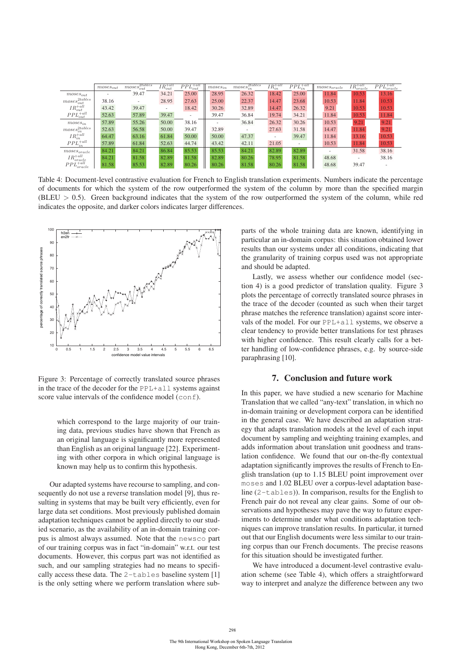|                                 | $moses_{out}$ | $moses_{out}^{2tables}$ | $IR_{out}^{+all}$        | $PPL_{out}^{+all}$       | $moses_{in}$             | moses <sub>in</sub> <sup>2</sup> tables | $IR_{in}^{+all}$ | $PPL_{in}^{+all}$ | $~moses_{oracle}$ | $IR^{+all}$<br>'oracle | $PPL^{+all}$<br><i>oracle</i> |
|---------------------------------|---------------|-------------------------|--------------------------|--------------------------|--------------------------|-----------------------------------------|------------------|-------------------|-------------------|------------------------|-------------------------------|
| $moses_{out}$                   |               | 39.47                   | 34.21                    | 25.00                    | 28.95                    | 26.32                                   | 18.42            | 25.00             | 11.84             | 10.53                  | 13.16                         |
| $moses^{2tables}_{out}$         | 38.16         |                         | 28.95                    | 27.63                    | 25.00                    | 22.37                                   | 14.47            | 23.68             | 10.53             | 11.84                  | 10.53                         |
| $IR_{out}^{\rm +all}$           | 43.42         | 39.47                   | $\overline{\phantom{a}}$ | 18.42                    | 30.26                    | 32.89                                   | 14.47            | 26.32             | 9.21              | 10.53                  | 10.53                         |
| $PPL_{out}^{+all}$              | 52.63         | 57.89                   | 39.47                    | $\overline{\phantom{a}}$ | 39.47                    | 36.84                                   | 19.74            | 34.21             | 11.84             | 10.53                  | 11.84                         |
| $~moses_{in}$                   | 57.89         | 55.26                   | 50.00                    | 38.16                    | $\overline{\phantom{a}}$ | 36.84                                   | 26.32            | 30.26             | 10.53             | 9.21                   | 9.21                          |
| $moses_{z}^{2tables}$ .         | 52.63         | 56.58                   | 50.00                    | 39.47                    | 32.89                    |                                         | 27.63            | 31.58             | 14.47             | 11.84                  | 9.21                          |
| $IR_{in}^{+all}$                | 64.47         | 63.16                   | 61.84                    | 50.00                    | 50.00                    | 47.37                                   |                  | 39.47             | 11.84             | 13.16                  | 10.53                         |
| $PPL_{in}^{+all}$               | 57.89         | 61.84                   | 52.63                    | 44.74                    | 43.42                    | 42.11                                   | 21.05            | $\sim$            | 10.53             | 11.84                  | 10.53                         |
| $moses_{oracle}$                | 84.21         | 84.21                   | 86.84                    | 85.53                    | 85.53                    | 84.21                                   | 82.89            | 82.89             |                   | 31.58                  | 38.16                         |
| $IR^{+all}$<br>'oracle          | 84.21         | 81.58                   | 82.89                    | 81.58                    | 82.89                    | 80.26                                   | 78.95            | 81.58             | 48.68             |                        | 38.16                         |
| $PPL^{+all}$ .<br><i>oracle</i> | 81.58         | 85.53                   | 82.89                    | 80.26                    | 80.26                    | 81.58                                   | 80.26            | 81.58             | 48.68             | 39.47                  |                               |

Table 4: Document-level contrastive evaluation for French to English translation experiments. Numbers indicate the percentage of documents for which the system of the row outperformed the system of the column by more than the specified margin  $(BLEU > 0.5)$ . Green background indicates that the system of the row outperformed the system of the column, while red indicates the opposite, and darker colors indicates larger differences.



Figure 3: Percentage of correctly translated source phrases in the trace of the decoder for the PPL+all systems against score value intervals of the confidence model (conf).

which correspond to the large majority of our training data, previous studies have shown that French as an original language is significantly more represented than English as an original language [22]. Experimenting with other corpora in which original language is known may help us to confirm this hypothesis.

Our adapted systems have recourse to sampling, and consequently do not use a reverse translation model [9], thus resulting in systems that may be built very efficiently, even for large data set conditions. Most previously published domain adaptation techniques cannot be applied directly to our studied scenario, as the availability of an in-domain training corpus is almost always assumed. Note that the newsco part of our training corpus was in fact "in-domain" w.r.t. our test documents. However, this corpus part was not identified as such, and our sampling strategies had no means to specifically access these data. The 2-tables baseline system [1] is the only setting where we perform translation where subparts of the whole training data are known, identifying in particular an in-domain corpus: this situation obtained lower results than our systems under all conditions, indicating that the granularity of training corpus used was not appropriate and should be adapted.

Lastly, we assess whether our confidence model (section 4) is a good predictor of translation quality. Figure 3 plots the percentage of correctly translated source phrases in the trace of the decoder (counted as such when their target phrase matches the reference translation) against score intervals of the model. For our PPL+all systems, we observe a clear tendency to provide better translations for test phrases with higher confidence. This result clearly calls for a better handling of low-confidence phrases, e.g. by source-side paraphrasing [10].

#### 7. Conclusion and future work

In this paper, we have studied a new scenario for Machine Translation that we called "any-text" translation, in which no in-domain training or development corpora can be identified in the general case. We have described an adaptation strategy that adapts translation models at the level of each input document by sampling and weighting training examples, and adds information about translation unit goodness and translation confidence. We found that our on-the-fly contextual adaptation significantly improves the results of French to English translation (up to 1.15 BLEU point improvement over moses and 1.02 BLEU over a corpus-level adaptation baseline (2-tables)). In comparison, results for the English to French pair do not reveal any clear gains. Some of our observations and hypotheses may pave the way to future experiments to determine under what conditions adaptation techniques can improve translation results. In particular, it turned out that our English documents were less similar to our training corpus than our French documents. The precise reasons for this situation should be investigated further.

We have introduced a document-level contrastive evaluation scheme (see Table 4), which offers a straightforward way to interpret and analyze the difference between any two

298